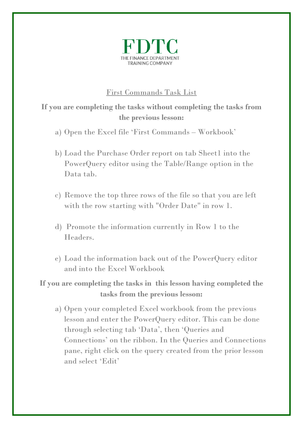

## First Commands Task List

## **If you are completing the tasks without completing the tasks from the previous lesson:**

- a) Open the Excel file 'First Commands Workbook'
- b) Load the Purchase Order report on tab Sheet1 into the PowerQuery editor using the Table/Range option in the Data tab.
- c) Remove the top three rows of the file so that you are left with the row starting with "Order Date" in row 1.
- d) Promote the information currently in Row 1 to the Headers.
- e) Load the information back out of the PowerQuery editor and into the Excel Workbook

## **If you are completing the tasks in this lesson having completed the tasks from the previous lesson:**

a) Open your completed Excel workbook from the previous lesson and enter the PowerQuery editor. This can be done through selecting tab 'Data', then 'Queries and Connections' on the ribbon. In the Queries and Connections pane, right click on the query created from the prior lesson and select 'Edit'